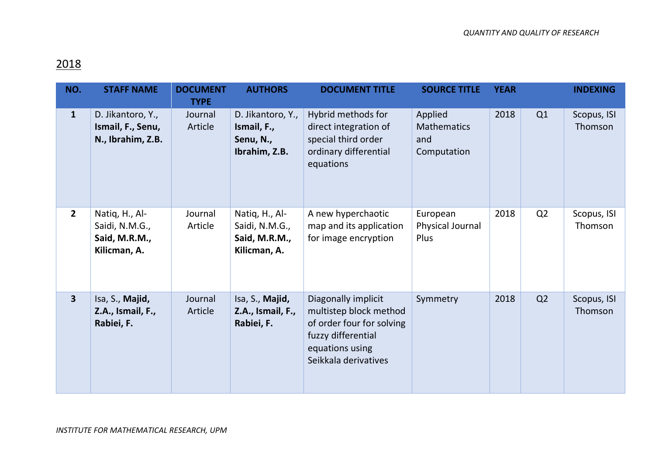## 2018

| NO.                     | <b>STAFF NAME</b>                                                 | <b>DOCUMENT</b><br><b>TYPE</b> | <b>AUTHORS</b>                                                    | <b>DOCUMENT TITLE</b>                                                                                                                       | <b>SOURCE TITLE</b>                                 | <b>YEAR</b> |                | <b>INDEXING</b>        |
|-------------------------|-------------------------------------------------------------------|--------------------------------|-------------------------------------------------------------------|---------------------------------------------------------------------------------------------------------------------------------------------|-----------------------------------------------------|-------------|----------------|------------------------|
| $\mathbf{1}$            | D. Jikantoro, Y.,<br>Ismail, F., Senu,<br>N., Ibrahim, Z.B.       | Journal<br>Article             | D. Jikantoro, Y.,<br>Ismail, F.,<br>Senu, N.,<br>Ibrahim, Z.B.    | Hybrid methods for<br>direct integration of<br>special third order<br>ordinary differential<br>equations                                    | Applied<br><b>Mathematics</b><br>and<br>Computation | 2018        | Q1             | Scopus, ISI<br>Thomson |
| $\overline{2}$          | Natiq, H., Al-<br>Saidi, N.M.G.,<br>Said, M.R.M.,<br>Kilicman, A. | Journal<br>Article             | Natiq, H., Al-<br>Saidi, N.M.G.,<br>Said, M.R.M.,<br>Kilicman, A. | A new hyperchaotic<br>map and its application<br>for image encryption                                                                       | European<br>Physical Journal<br>Plus                | 2018        | Q <sub>2</sub> | Scopus, ISI<br>Thomson |
| $\overline{\mathbf{3}}$ | Isa, S., Majid,<br>Z.A., Ismail, F.,<br>Rabiei, F.                | Journal<br>Article             | Isa, S., Majid,<br>Z.A., Ismail, F.,<br>Rabiei, F.                | Diagonally implicit<br>multistep block method<br>of order four for solving<br>fuzzy differential<br>equations using<br>Seikkala derivatives | Symmetry                                            | 2018        | Q <sub>2</sub> | Scopus, ISI<br>Thomson |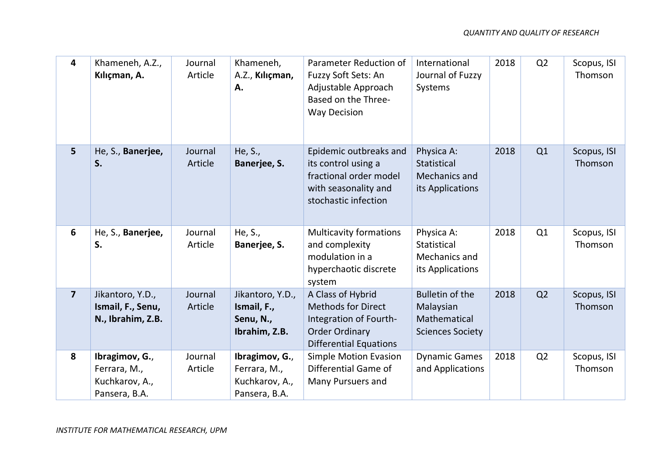| 4                       | Khameneh, A.Z.,<br>Kılıçman, A.                                   | Journal<br>Article | Khameneh,<br>A.Z., Kılıçman,<br>Α.                                | Parameter Reduction of<br>Fuzzy Soft Sets: An<br>Adjustable Approach<br>Based on the Three-<br><b>Way Decision</b>                 | International<br>Journal of Fuzzy<br>Systems                                   | 2018 | Q <sub>2</sub> | Scopus, ISI<br>Thomson |
|-------------------------|-------------------------------------------------------------------|--------------------|-------------------------------------------------------------------|------------------------------------------------------------------------------------------------------------------------------------|--------------------------------------------------------------------------------|------|----------------|------------------------|
| 5                       | He, S., Banerjee,<br>S.                                           | Journal<br>Article | He, S.,<br>Banerjee, S.                                           | Epidemic outbreaks and<br>its control using a<br>fractional order model<br>with seasonality and<br>stochastic infection            | Physica A:<br>Statistical<br><b>Mechanics and</b><br>its Applications          | 2018 | Q1             | Scopus, ISI<br>Thomson |
| 6                       | He, S., Banerjee,<br>S.                                           | Journal<br>Article | He, S.,<br>Banerjee, S.                                           | <b>Multicavity formations</b><br>and complexity<br>modulation in a<br>hyperchaotic discrete<br>system                              | Physica A:<br>Statistical<br>Mechanics and<br>its Applications                 | 2018 | Q1             | Scopus, ISI<br>Thomson |
| $\overline{\mathbf{z}}$ | Jikantoro, Y.D.,<br>Ismail, F., Senu,<br>N., Ibrahim, Z.B.        | Journal<br>Article | Jikantoro, Y.D.,<br>Ismail, F.,<br>Senu, N.,<br>Ibrahim, Z.B.     | A Class of Hybrid<br><b>Methods for Direct</b><br>Integration of Fourth-<br><b>Order Ordinary</b><br><b>Differential Equations</b> | <b>Bulletin of the</b><br>Malaysian<br>Mathematical<br><b>Sciences Society</b> | 2018 | Q2             | Scopus, ISI<br>Thomson |
| 8                       | Ibragimov, G.,<br>Ferrara, M.,<br>Kuchkarov, A.,<br>Pansera, B.A. | Journal<br>Article | Ibragimov, G.,<br>Ferrara, M.,<br>Kuchkarov, A.,<br>Pansera, B.A. | <b>Simple Motion Evasion</b><br>Differential Game of<br>Many Pursuers and                                                          | <b>Dynamic Games</b><br>and Applications                                       | 2018 | Q <sub>2</sub> | Scopus, ISI<br>Thomson |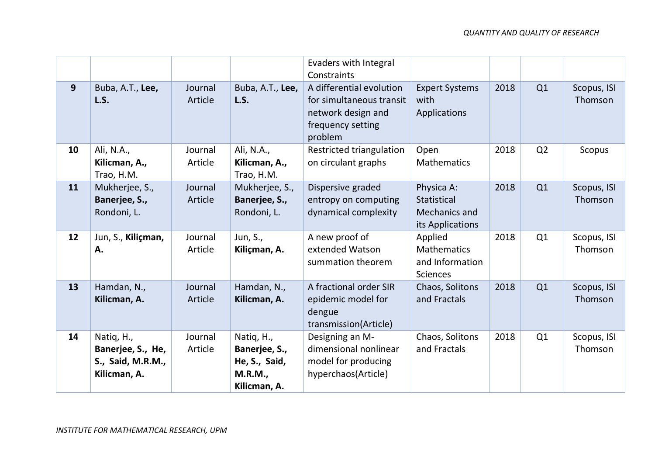|              |                                                                      |                    |                                                                                | Evaders with Integral<br>Constraints                                                                       |                                                                       |      |                |                        |
|--------------|----------------------------------------------------------------------|--------------------|--------------------------------------------------------------------------------|------------------------------------------------------------------------------------------------------------|-----------------------------------------------------------------------|------|----------------|------------------------|
| $\mathbf{9}$ | Buba, A.T., Lee,<br>L.S.                                             | Journal<br>Article | Buba, A.T., Lee,<br>L.S.                                                       | A differential evolution<br>for simultaneous transit<br>network design and<br>frequency setting<br>problem | <b>Expert Systems</b><br>with<br>Applications                         | 2018 | Q1             | Scopus, ISI<br>Thomson |
| 10           | Ali, N.A.,<br>Kilicman, A.,<br>Trao, H.M.                            | Journal<br>Article | Ali, N.A.,<br>Kilicman, A.,<br>Trao, H.M.                                      | Restricted triangulation<br>on circulant graphs                                                            | Open<br>Mathematics                                                   | 2018 | Q <sub>2</sub> | Scopus                 |
| 11           | Mukherjee, S.,<br>Banerjee, S.,<br>Rondoni, L.                       | Journal<br>Article | Mukherjee, S.,<br>Banerjee, S.,<br>Rondoni, L.                                 | Dispersive graded<br>entropy on computing<br>dynamical complexity                                          | Physica A:<br><b>Statistical</b><br>Mechanics and<br>its Applications | 2018 | Q1             | Scopus, ISI<br>Thomson |
| 12           | Jun, S., Kiliçman,<br>Α.                                             | Journal<br>Article | Jun, S.,<br>Kiliçman, A.                                                       | A new proof of<br>extended Watson<br>summation theorem                                                     | Applied<br><b>Mathematics</b><br>and Information<br><b>Sciences</b>   | 2018 | Q1             | Scopus, ISI<br>Thomson |
| 13           | Hamdan, N.,<br>Kilicman, A.                                          | Journal<br>Article | Hamdan, N.,<br>Kilicman, A.                                                    | A fractional order SIR<br>epidemic model for<br>dengue<br>transmission(Article)                            | Chaos, Solitons<br>and Fractals                                       | 2018 | Q1             | Scopus, ISI<br>Thomson |
| 14           | Natiq, H.,<br>Banerjee, S., He,<br>S., Said, M.R.M.,<br>Kilicman, A. | Journal<br>Article | Natiq, H.,<br>Banerjee, S.,<br>He, S., Said,<br><b>M.R.M.,</b><br>Kilicman, A. | Designing an M-<br>dimensional nonlinear<br>model for producing<br>hyperchaos(Article)                     | Chaos, Solitons<br>and Fractals                                       | 2018 | Q1             | Scopus, ISI<br>Thomson |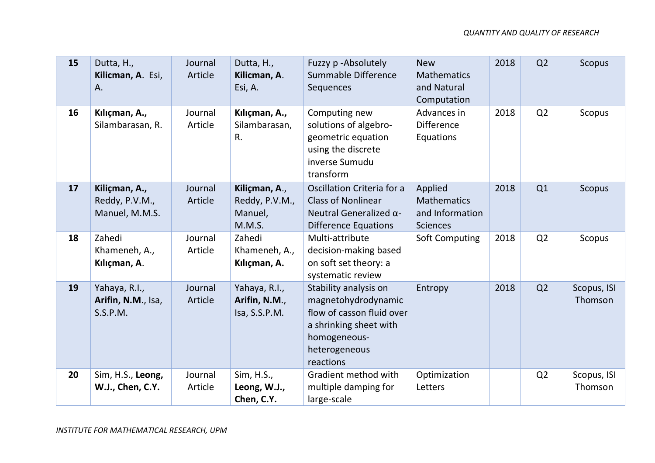| 15 | Dutta, H.,<br>Kilicman, A. Esi,<br>A.             | Journal<br>Article | Dutta, H.,<br>Kilicman, A.<br>Esi, A.                | Fuzzy p-Absolutely<br>Summable Difference<br>Sequences                                                                                            | <b>New</b><br><b>Mathematics</b><br>and Natural<br>Computation      | 2018 | Q <sub>2</sub> | Scopus                 |
|----|---------------------------------------------------|--------------------|------------------------------------------------------|---------------------------------------------------------------------------------------------------------------------------------------------------|---------------------------------------------------------------------|------|----------------|------------------------|
| 16 | Kılıçman, A.,<br>Silambarasan, R.                 | Journal<br>Article | Kılıçman, A.,<br>Silambarasan,<br>R.                 | Computing new<br>solutions of algebro-<br>geometric equation<br>using the discrete<br>inverse Sumudu<br>transform                                 | Advances in<br><b>Difference</b><br>Equations                       | 2018 | Q <sub>2</sub> | Scopus                 |
| 17 | Kiliçman, A.,<br>Reddy, P.V.M.,<br>Manuel, M.M.S. | Journal<br>Article | Kiliçman, A.,<br>Reddy, P.V.M.,<br>Manuel,<br>M.M.S. | Oscillation Criteria for a<br><b>Class of Nonlinear</b><br>Neutral Generalized $\alpha$ -<br><b>Difference Equations</b>                          | Applied<br><b>Mathematics</b><br>and Information<br><b>Sciences</b> | 2018 | Q1             | Scopus                 |
| 18 | Zahedi<br>Khameneh, A.,<br>Kılıçman, A.           | Journal<br>Article | Zahedi<br>Khameneh, A.,<br>Kılıçman, A.              | Multi-attribute<br>decision-making based<br>on soft set theory: a<br>systematic review                                                            | <b>Soft Computing</b>                                               | 2018 | Q <sub>2</sub> | Scopus                 |
| 19 | Yahaya, R.I.,<br>Arifin, N.M., Isa,<br>S.S.P.M.   | Journal<br>Article | Yahaya, R.I.,<br>Arifin, N.M.,<br>Isa, S.S.P.M.      | Stability analysis on<br>magnetohydrodynamic<br>flow of casson fluid over<br>a shrinking sheet with<br>homogeneous-<br>heterogeneous<br>reactions | Entropy                                                             | 2018 | Q <sub>2</sub> | Scopus, ISI<br>Thomson |
| 20 | Sim, H.S., Leong,<br>W.J., Chen, C.Y.             | Journal<br>Article | Sim, H.S.,<br>Leong, W.J.,<br>Chen, C.Y.             | Gradient method with<br>multiple damping for<br>large-scale                                                                                       | Optimization<br>Letters                                             |      | Q <sub>2</sub> | Scopus, ISI<br>Thomson |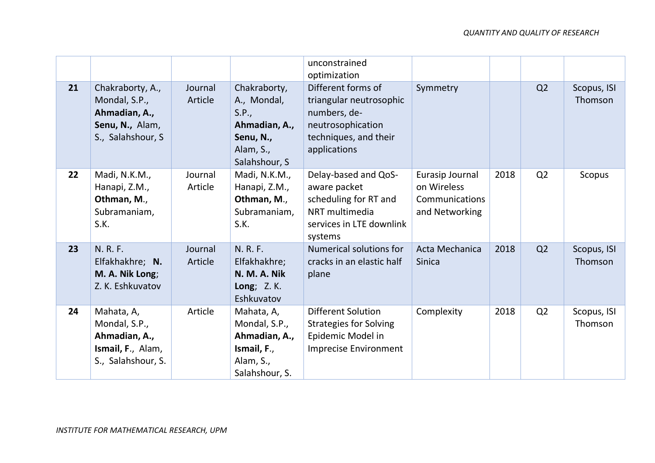|    |                                                                                             |                    |                                                                                                  | unconstrained<br>optimization                                                                                               |                                                                    |      |                |                        |
|----|---------------------------------------------------------------------------------------------|--------------------|--------------------------------------------------------------------------------------------------|-----------------------------------------------------------------------------------------------------------------------------|--------------------------------------------------------------------|------|----------------|------------------------|
| 21 | Chakraborty, A.,<br>Mondal, S.P.,<br>Ahmadian, A.,<br>Senu, N., Alam,<br>S., Salahshour, S. | Journal<br>Article | Chakraborty,<br>A., Mondal,<br>S.P.,<br>Ahmadian, A.,<br>Senu, N.,<br>Alam, S.,<br>Salahshour, S | Different forms of<br>triangular neutrosophic<br>numbers, de-<br>neutrosophication<br>techniques, and their<br>applications | Symmetry                                                           |      | Q2             | Scopus, ISI<br>Thomson |
| 22 | Madi, N.K.M.,<br>Hanapi, Z.M.,<br>Othman, M.,<br>Subramaniam,<br>S.K.                       | Journal<br>Article | Madi, N.K.M.,<br>Hanapi, Z.M.,<br>Othman, M.,<br>Subramaniam,<br>S.K.                            | Delay-based and QoS-<br>aware packet<br>scheduling for RT and<br>NRT multimedia<br>services in LTE downlink<br>systems      | Eurasip Journal<br>on Wireless<br>Communications<br>and Networking | 2018 | Q <sub>2</sub> | Scopus                 |
| 23 | N. R. F.<br>Elfakhakhre; N.<br>M. A. Nik Long;<br>Z. K. Eshkuvatov                          | Journal<br>Article | N. R. F.<br>Elfakhakhre;<br>N. M. A. Nik<br><b>Long</b> ; Z. K.<br>Eshkuvatov                    | Numerical solutions for<br>cracks in an elastic half<br>plane                                                               | Acta Mechanica<br>Sinica                                           | 2018 | Q <sub>2</sub> | Scopus, ISI<br>Thomson |
| 24 | Mahata, A,<br>Mondal, S.P.,<br>Ahmadian, A.,<br>Ismail, F., Alam,<br>S., Salahshour, S.     | Article            | Mahata, A,<br>Mondal, S.P.,<br>Ahmadian, A.,<br>Ismail, F.,<br>Alam, S.,<br>Salahshour, S.       | <b>Different Solution</b><br><b>Strategies for Solving</b><br>Epidemic Model in<br><b>Imprecise Environment</b>             | Complexity                                                         | 2018 | Q <sub>2</sub> | Scopus, ISI<br>Thomson |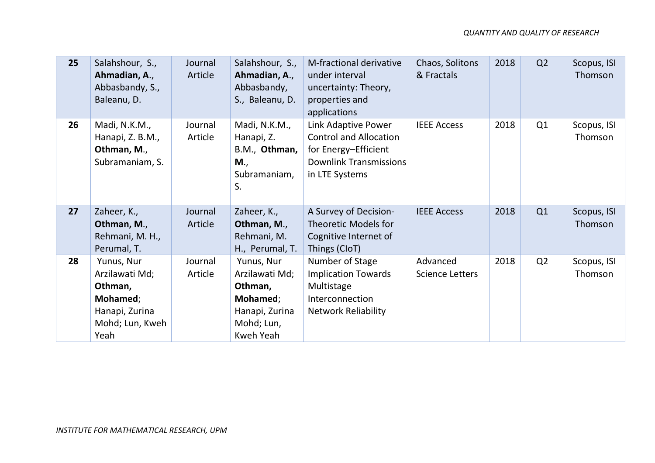| 25 | Salahshour, S.,<br>Ahmadian, A.,<br>Abbasbandy, S.,<br>Baleanu, D.                               | Journal<br>Article | Salahshour, S.,<br>Ahmadian, A.,<br>Abbasbandy,<br>S., Baleanu, D.                                      | M-fractional derivative<br>under interval<br>uncertainty: Theory,<br>properties and<br>applications                             | Chaos, Solitons<br>& Fractals      | 2018 | Q2 | Scopus, ISI<br>Thomson |
|----|--------------------------------------------------------------------------------------------------|--------------------|---------------------------------------------------------------------------------------------------------|---------------------------------------------------------------------------------------------------------------------------------|------------------------------------|------|----|------------------------|
| 26 | Madi, N.K.M.,<br>Hanapi, Z. B.M.,<br>Othman, M.,<br>Subramaniam, S.                              | Journal<br>Article | Madi, N.K.M.,<br>Hanapi, Z.<br>B.M., Othman,<br>M.,<br>Subramaniam,<br>S.                               | Link Adaptive Power<br><b>Control and Allocation</b><br>for Energy-Efficient<br><b>Downlink Transmissions</b><br>in LTE Systems | <b>IEEE Access</b>                 | 2018 | Q1 | Scopus, ISI<br>Thomson |
| 27 | Zaheer, K.,<br>Othman, M.,<br>Rehmani, M. H.,<br>Perumal, T.                                     | Journal<br>Article | Zaheer, K.,<br>Othman, M.,<br>Rehmani, M.<br>H., Perumal, T.                                            | A Survey of Decision-<br>Theoretic Models for<br>Cognitive Internet of<br>Things (CloT)                                         | <b>IEEE Access</b>                 | 2018 | Q1 | Scopus, ISI<br>Thomson |
| 28 | Yunus, Nur<br>Arzilawati Md;<br>Othman,<br>Mohamed;<br>Hanapi, Zurina<br>Mohd; Lun, Kweh<br>Yeah | Journal<br>Article | Yunus, Nur<br>Arzilawati Md;<br>Othman,<br>Mohamed;<br>Hanapi, Zurina<br>Mohd; Lun,<br><b>Kweh Yeah</b> | Number of Stage<br><b>Implication Towards</b><br>Multistage<br>Interconnection<br><b>Network Reliability</b>                    | Advanced<br><b>Science Letters</b> | 2018 | Q2 | Scopus, ISI<br>Thomson |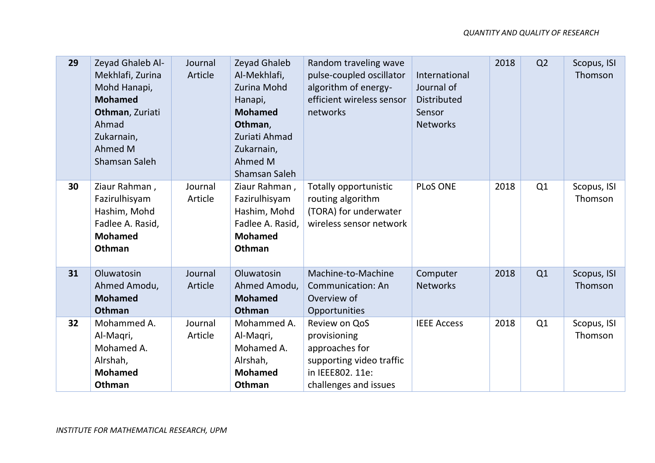| 29 | Zeyad Ghaleb Al-<br>Mekhlafi, Zurina<br>Mohd Hanapi,<br><b>Mohamed</b><br>Othman, Zuriati<br>Ahmad<br>Zukarnain,<br>Ahmed M<br>Shamsan Saleh | Journal<br>Article | Zeyad Ghaleb<br>Al-Mekhlafi,<br>Zurina Mohd<br>Hanapi,<br><b>Mohamed</b><br>Othman,<br>Zuriati Ahmad<br>Zukarnain,<br>Ahmed M<br>Shamsan Saleh | Random traveling wave<br>pulse-coupled oscillator<br>algorithm of energy-<br>efficient wireless sensor<br>networks       | International<br>Journal of<br>Distributed<br>Sensor<br><b>Networks</b> | 2018 | Q2 | Scopus, ISI<br>Thomson |
|----|----------------------------------------------------------------------------------------------------------------------------------------------|--------------------|------------------------------------------------------------------------------------------------------------------------------------------------|--------------------------------------------------------------------------------------------------------------------------|-------------------------------------------------------------------------|------|----|------------------------|
| 30 | Ziaur Rahman,<br>Fazirulhisyam<br>Hashim, Mohd<br>Fadlee A. Rasid,<br><b>Mohamed</b><br>Othman                                               | Journal<br>Article | Ziaur Rahman,<br>Fazirulhisyam<br>Hashim, Mohd<br>Fadlee A. Rasid,<br><b>Mohamed</b><br>Othman                                                 | Totally opportunistic<br>routing algorithm<br>(TORA) for underwater<br>wireless sensor network                           | <b>PLoS ONE</b>                                                         | 2018 | Q1 | Scopus, ISI<br>Thomson |
| 31 | Oluwatosin<br>Ahmed Amodu,<br><b>Mohamed</b><br>Othman                                                                                       | Journal<br>Article | Oluwatosin<br>Ahmed Amodu,<br><b>Mohamed</b><br>Othman                                                                                         | Machine-to-Machine<br><b>Communication: An</b><br>Overview of<br>Opportunities                                           | Computer<br><b>Networks</b>                                             | 2018 | Q1 | Scopus, ISI<br>Thomson |
| 32 | Mohammed A.<br>Al-Magri,<br>Mohamed A.<br>Alrshah,<br><b>Mohamed</b><br>Othman                                                               | Journal<br>Article | Mohammed A.<br>Al-Maqri,<br>Mohamed A.<br>Alrshah,<br><b>Mohamed</b><br>Othman                                                                 | Review on QoS<br>provisioning<br>approaches for<br>supporting video traffic<br>in IEEE802. 11e:<br>challenges and issues | <b>IEEE Access</b>                                                      | 2018 | Q1 | Scopus, ISI<br>Thomson |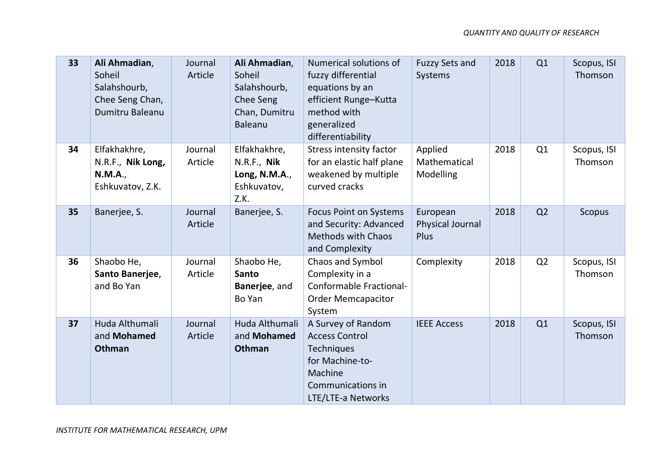| 33 | Ali Ahmadian,<br>Soheil<br>Salahshourb,<br>Chee Seng Chan,<br><b>Dumitru Baleanu</b> | Journal<br>Article | Ali Ahmadian,<br>Soheil<br>Salahshourb,<br>Chee Seng<br>Chan, Dumitru<br>Baleanu | Numerical solutions of<br>fuzzy differential<br>equations by an<br>efficient Runge-Kutta<br>method with<br>generalized<br>differentiability | <b>Fuzzy Sets and</b><br>Systems            | 2018 | Q1             | Scopus, ISI<br>Thomson |
|----|--------------------------------------------------------------------------------------|--------------------|----------------------------------------------------------------------------------|---------------------------------------------------------------------------------------------------------------------------------------------|---------------------------------------------|------|----------------|------------------------|
| 34 | Elfakhakhre,<br>N.R.F., Nik Long,<br><b>N.M.A.,</b><br>Eshkuvatov, Z.K.              | Journal<br>Article | Elfakhakhre,<br>N.R.F., Nik<br>Long, N.M.A.,<br>Eshkuvatov,<br>Z.K.              | <b>Stress intensity factor</b><br>for an elastic half plane<br>weakened by multiple<br>curved cracks                                        | Applied<br>Mathematical<br>Modelling        | 2018 | Q1             | Scopus, ISI<br>Thomson |
| 35 | Banerjee, S.                                                                         | Journal<br>Article | Banerjee, S.                                                                     | <b>Focus Point on Systems</b><br>and Security: Advanced<br><b>Methods with Chaos</b><br>and Complexity                                      | European<br><b>Physical Journal</b><br>Plus | 2018 | Q <sub>2</sub> | Scopus                 |
| 36 | Shaobo He,<br>Santo Banerjee,<br>and Bo Yan                                          | Journal<br>Article | Shaobo He,<br><b>Santo</b><br>Banerjee, and<br>Bo Yan                            | Chaos and Symbol<br>Complexity in a<br><b>Conformable Fractional-</b><br><b>Order Memcapacitor</b><br>System                                | Complexity                                  | 2018 | Q <sub>2</sub> | Scopus, ISI<br>Thomson |
| 37 | Huda Althumali<br>and Mohamed<br><b>Othman</b>                                       | Journal<br>Article | Huda Althumali<br>and Mohamed<br>Othman                                          | A Survey of Random<br><b>Access Control</b><br><b>Techniques</b><br>for Machine-to-<br>Machine<br>Communications in<br>LTE/LTE-a Networks   | <b>IEEE Access</b>                          | 2018 | Q1             | Scopus, ISI<br>Thomson |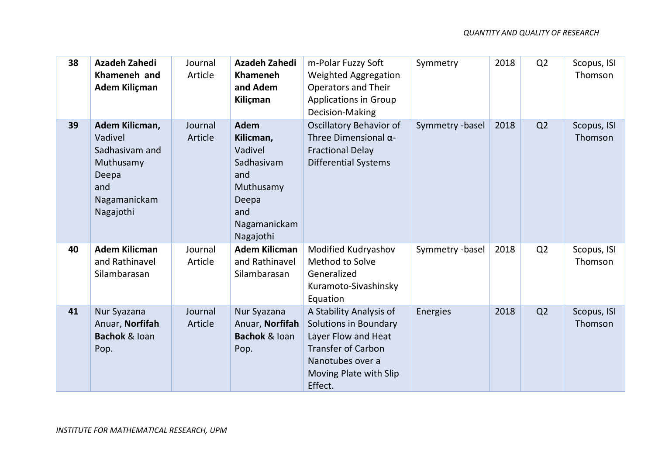| 38 | <b>Azadeh Zahedi</b><br>Khameneh and<br>Adem Kiliçman                                                 | Journal<br>Article | <b>Azadeh Zahedi</b><br><b>Khameneh</b><br>and Adem<br>Kiliçman                                                    | m-Polar Fuzzy Soft<br>Weighted Aggregation<br><b>Operators and Their</b><br><b>Applications in Group</b><br>Decision-Making                                          | Symmetry        | 2018 | Q <sub>2</sub> | Scopus, ISI<br>Thomson |
|----|-------------------------------------------------------------------------------------------------------|--------------------|--------------------------------------------------------------------------------------------------------------------|----------------------------------------------------------------------------------------------------------------------------------------------------------------------|-----------------|------|----------------|------------------------|
| 39 | Adem Kilicman,<br>Vadivel<br>Sadhasivam and<br>Muthusamy<br>Deepa<br>and<br>Nagamanickam<br>Nagajothi | Journal<br>Article | <b>Adem</b><br>Kilicman,<br>Vadivel<br>Sadhasivam<br>and<br>Muthusamy<br>Deepa<br>and<br>Nagamanickam<br>Nagajothi | <b>Oscillatory Behavior of</b><br>Three Dimensional $\alpha$ -<br><b>Fractional Delay</b><br><b>Differential Systems</b>                                             | Symmetry -basel | 2018 | Q <sub>2</sub> | Scopus, ISI<br>Thomson |
| 40 | <b>Adem Kilicman</b><br>and Rathinavel<br>Silambarasan                                                | Journal<br>Article | <b>Adem Kilicman</b><br>and Rathinavel<br>Silambarasan                                                             | Modified Kudryashov<br>Method to Solve<br>Generalized<br>Kuramoto-Sivashinsky<br>Equation                                                                            | Symmetry -basel | 2018 | Q <sub>2</sub> | Scopus, ISI<br>Thomson |
| 41 | Nur Syazana<br>Anuar, Norfifah<br><b>Bachok &amp; loan</b><br>Pop.                                    | Journal<br>Article | Nur Syazana<br>Anuar, Norfifah<br><b>Bachok &amp; loan</b><br>Pop.                                                 | A Stability Analysis of<br><b>Solutions in Boundary</b><br>Layer Flow and Heat<br><b>Transfer of Carbon</b><br>Nanotubes over a<br>Moving Plate with Slip<br>Effect. | Energies        | 2018 | Q <sub>2</sub> | Scopus, ISI<br>Thomson |